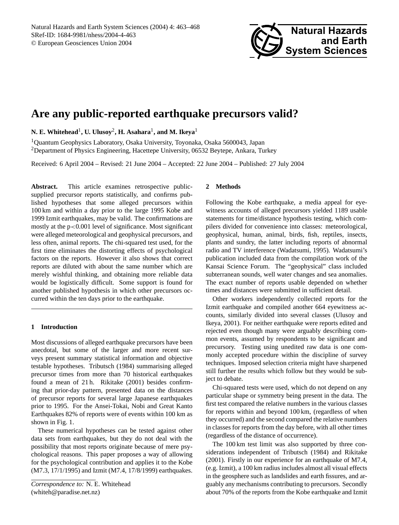# **Are any public-reported earthquake precursors valid?**

 $\mathbf{N}$ . **E.** Whitehead<sup>1</sup>, U. Ulusoy<sup>2</sup>, **H.** Asahara<sup>1</sup>, and M. Ikeya<sup>1</sup>

<sup>1</sup>Quantum Geophysics Laboratory, Osaka University, Toyonaka, Osaka 5600043, Japan <sup>2</sup>Department of Physics Engineering, Hacettepe University, 06532 Beytepe, Ankara, Turkey

Received: 6 April 2004 – Revised: 21 June 2004 – Accepted: 22 June 2004 – Published: 27 July 2004

Abstract. This article examines retrospective publicsupplied precursor reports statistically, and confirms published hypotheses that some alleged precursors within 100 km and within a day prior to the large 1995 Kobe and 1999 Izmit earthquakes, may be valid. The confirmations are mostly at the  $p<0.001$  level of significance. Most significant were alleged meteorological and geophysical precursors, and less often, animal reports. The chi-squared test used, for the first time eliminates the distorting effects of psychological factors on the reports. However it also shows that correct reports are diluted with about the same number which are merely wishful thinking, and obtaining more reliable data would be logistically difficult. Some support is found for another published hypothesis in which other precursors occurred within the ten days prior to the earthquake.

# **1 Introduction**

Most discussions of alleged earthquake precursors have been anecdotal, but some of the larger and more recent surveys present summary statistical information and objective testable hypotheses. Tributsch (1984) summarising alleged precursor times from more than 70 historical earthquakes found a mean of 21 h. Rikitake (2001) besides confirming that prior-day pattern, presented data on the distances of precursor reports for several large Japanese earthquakes prior to 1995. For the Ansei-Tokai, Nobi and Great Kanto Earthquakes 82% of reports were of events within 100 km as shown in Fig. 1.

These numerical hypotheses can be tested against other data sets from earthquakes, but they do not deal with the possibility that most reports originate because of mere psychological reasons. This paper proposes a way of allowing for the psychological contribution and applies it to the Kobe (M7.3, 17/1/1995) and Izmit (M7.4, 17/8/1999) earthquakes.

## **2 Methods**

Following the Kobe earthquake, a media appeal for eyewitness accounts of alleged precursors yielded 1189 usable statements for time/distance hypothesis testing, which compilers divided for convenience into classes: meteorological, geophysical, human, animal, birds, fish, reptiles, insects, plants and sundry, the latter including reports of abnormal radio and TV interference (Wadatsumi, 1995). Wadatsumi's publication included data from the compilation work of the Kansai Science Forum. The "geophysical" class included subterranean sounds, well water changes and sea anomalies. The exact number of reports usable depended on whether times and distances were submitted in sufficient detail.

Other workers independently collected reports for the Izmit earthquake and compiled another 664 eyewitness accounts, similarly divided into several classes (Ulusoy and Ikeya, 2001). For neither earthquake were reports edited and rejected even though many were arguably describing common events, assumed by respondents to be significant and precursory. Testing using unedited raw data is one commonly accepted procedure within the discipline of survey techniques. Imposed selection criteria might have sharpened still further the results which follow but they would be subject to debate.

Chi-squared tests were used, which do not depend on any particular shape or symmetry being present in the data. The first test compared the relative numbers in the various classes for reports within and beyond 100 km, (regardless of when they occurred) and the second compared the relative numbers in classes for reports from the day before, with all other times (regardless of the distance of occurrence).

The 100 km test limit was also supported by three considerations independent of Tributsch (1984) and Rikitake (2001). Firstly in our experience for an earthquake of M7.4, (e.g. Izmit), a 100 km radius includes almost all visual effects in the geosphere such as landslides and earth fissures, and arguably any mechanisms contributing to precursors. Secondly about 70% of the reports from the Kobe earthquake and Izmit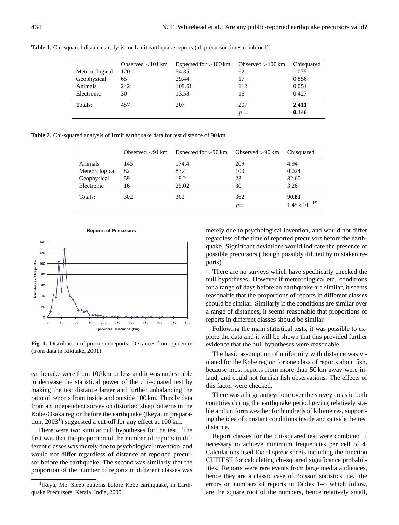|                | Observed $\langle 101 \text{ km} \rangle$ | Expected for $>100 \text{ km}$ Observed $>100 \text{ km}$ |       | Chisquared |
|----------------|-------------------------------------------|-----------------------------------------------------------|-------|------------|
| Meteorological | 120                                       | 54.35                                                     | 62    | 1.075      |
| Geophysical    | 65                                        | 29.44                                                     | 17    | 0.856      |
| Animals        | 242                                       | 109.61                                                    | 112   | 0.051      |
| Electronic     | 30                                        | 13.58                                                     | 16    | 0.427      |
| Totals:        | 457                                       | 207                                                       | 207   | 2.411      |
|                |                                           |                                                           | $p =$ | 0.146      |

**Table 1.** Chi-squared distance analysis for Izmit earthquake reports (all precursor times combined).

**Table 2.** Chi-squared analysis of Izmit earthquake data for test distance of 90 km.

|                | Observed $\langle 91 \text{ km} \rangle$ | Expected for $>90 \text{ km}$ Observed $>90 \text{ km}$ |      | Chisquared             |
|----------------|------------------------------------------|---------------------------------------------------------|------|------------------------|
| Animals        | 145                                      | 174.4                                                   | 209  | 4.94                   |
| Meteorological | 82                                       | 83.4                                                    | 100  | 0.024                  |
| Geophysical    | 59                                       | 19.2                                                    | 23   | 82.60                  |
| Electronic     | 16                                       | 25.02                                                   | 30   | 3.26                   |
| Totals:        | 302                                      | 302                                                     | 362  | 90.83                  |
|                |                                          |                                                         | $p=$ | $1.45 \times 10^{-19}$ |





**Fig. 1.** Distribution of precursor reports. Distances from epicentre (from data in Rikitake, 2001).

earthquake were from 100 km or less and it was undesirable to decrease the statistical power of the chi-squared test by making the test distance larger and further unbalancing the ratio of reports from inside and outside 100 km. Thirdly data from an independent survey on disturbed sleep patterns in the Kobe-Osaka region before the earthquake (Ikeya, in preparation,  $2003<sup>1</sup>$ ) suggested a cut-off for any effect at 100 km.

There were two similar null hypotheses for the test. The first was that the proportion of the number of reports in different classes was merely due to psychological invention, and would not differ regardless of distance of reported precursor before the earthquake. The second was similarly that the proportion of the number of reports in different classes was

merely due to psychological invention, and would not differ regardless of the time of reported precursors before the earthquake. Significant deviations would indicate the presence of possible precursors (though possibly diluted by mistaken reports).

There are no surveys which have specifically checked the null hypotheses. However if meteorological etc. conditions for a range of days before an earthquake are similar, it seems reasonable that the proportions of reports in different classes should be similar. Similarly if the conditions are similar over a range of distances, it seems reasonable that proportions of reports in different classes should be similar.

Following the main statistical tests, it was possible to explore the data and it will be shown that this provided further evidence that the null hypotheses were reasonable.

The basic assumption of uniformity with distance was violated for the Kobe region for one class of reports about fish, because most reports from more than 50 km away were inland, and could not furnish fish observations. The effects of this factor were checked.

There was a large anticyclone over the survey areas in both countries during the earthquake period giving relatively stable and uniform weather for hundreds of kilometres, supporting the idea of constant conditions inside and outside the test distance.

Report classes for the chi-squared test were combined if necessary to achieve minimum frequencies per cell of 4. Calculations used Excel spreadsheets including the function CHITEST for calculating chi-squared significance probabilities. Reports were rare events from large media audiences, hence they are a classic case of Poisson statistics, i.e. the errors on numbers of reports in Tables 1–5 which follow, are the square root of the numbers, hence relatively small,

<sup>&</sup>lt;sup>1</sup>Ikeya, M.: Sleep patterns before Kobe earthquake, in Earthquake Precursors, Kerala, India, 2005.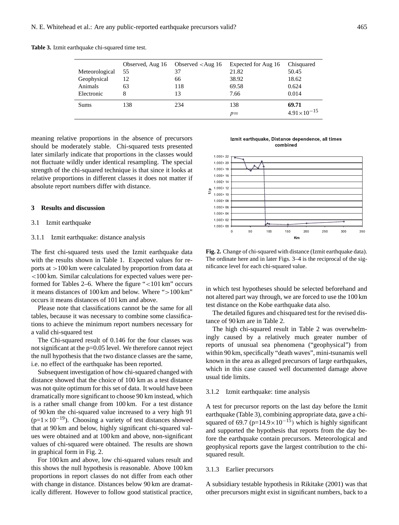|                | Observed, Aug 16 | Observed $\langle$ Aug 16 | Expected for Aug 16 | Chisquared             |
|----------------|------------------|---------------------------|---------------------|------------------------|
| Meteorological | 55               | 37                        | 21.82               | 50.45                  |
| Geophysical    | 12               | 66                        | 38.92               | 18.62                  |
| Animals        | 63               | 118                       | 69.58               | 0.624                  |
| Electronic     | 8                | 13                        | 7.66                | 0.014                  |
| Sums           | 138              | 234                       | 138                 | 69.71                  |
|                |                  |                           | $p=$                | $4.91 \times 10^{-15}$ |

**Table 3.** Izmit earthquake chi-squared time test.

meaning relative proportions in the absence of precursors should be moderately stable. Chi-squared tests presented later similarly indicate that proportions in the classes would not fluctuate wildly under identical resampling. The special strength of the chi-squared technique is that since it looks at relative proportions in different classes it does not matter if absolute report numbers differ with distance.

#### **3 Results and discussion**

# 3.1 Izmit earthquake

### 3.1.1 Izmit earthquake: distance analysis

The first chi-squared tests used the Izmit earthquake data with the results shown in Table 1. Expected values for reports at >100 km were calculated by proportion from data at <100 km. Similar calculations for expected values were performed for Tables 2–6. Where the figure "<101 km" occurs it means distances of 100 km and below. Where ">100 km" occurs it means distances of 101 km and above.

Please note that classifications cannot be the same for all tables, because it was necessary to combine some classifications to achieve the minimum report numbers necessary for a valid chi-squared test

The Chi-squared result of 0.146 for the four classes was not significant at the p=0.05 level. We therefore cannot reject the null hypothesis that the two distance classes are the same, i.e. no effect of the earthquake has been reported.

Subsequent investigation of how chi-squared changed with distance showed that the choice of 100 km as a test distance was not quite optimum for this set of data. It would have been dramatically more significant to choose 90 km instead, which is a rather small change from 100 km. For a test distance of 90 km the chi-squared value increased to a very high 91  $(p=1\times10^{-19})$ . Choosing a variety of test distances showed that at 90 km and below, highly significant chi-squared values were obtained and at 100 km and above, non-significant values of chi-squared were obtained. The results are shown in graphical form in Fig. 2.

For 100 km and above, low chi-squared values result and this shows the null hypothesis is reasonable. Above 100 km proportions in report classes do not differ from each other with change in distance. Distances below 90 km are dramatically different. However to follow good statistical practice,

Izmit earthquake, Distance dependence, all times combined



**Fig. 2.** Change of chi-squared with distance (Izmit earthquake data). The ordinate here and in later Figs. 3–4 is the reciprocal of the significance level for each chi-squared value.

in which test hypotheses should be selected beforehand and not altered part way through, we are forced to use the 100 km test distance on the Kobe earthquake data also.

The detailed figures and chisquared test for the revised distance of 90 km are in Table 2.

The high chi-squared result in Table 2 was overwhelmingly caused by a relatively much greater number of reports of unusual sea phenomena ("geophysical") from within 90 km, specifically "death waves", mini-tsunamis well known in the area as alleged precursors of large earthquakes, which in this case caused well documented damage above usual tide limits.

## 3.1.2 Izmit earthquake: time analysis

A test for precursor reports on the last day before the Izmit earthquake (Table 3), combining appropriate data, gave a chisquared of 69.7 (p=14.9×10<sup>-15</sup>) which is highly significant and supported the hypothesis that reports from the day before the earthquake contain precursors. Meteorological and geophysical reports gave the largest contribution to the chisquared result.

## 3.1.3 Earlier precursors

A subsidiary testable hypothesis in Rikitake (2001) was that other precursors might exist in significant numbers, back to a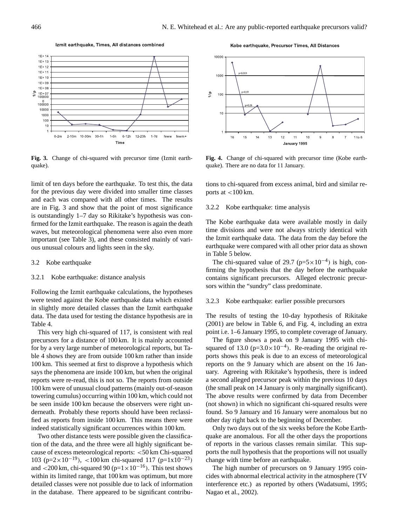



**Fig. 3.** Change of chi-squared with precursor time (Izmit earthquake).

limit of ten days before the earthquake. To test this, the data for the previous day were divided into smaller time classes and each was compared with all other times. The results are in Fig. 3 and show that the point of most significance is outstandingly 1–7 day so Rikitake's hypothesis was confirmed for the Izmit earthquake. The reason is again the death waves, but meteorological phenomena were also even more important (see Table 3), and these consisted mainly of various unusual colours and lights seen in the sky.

#### 3.2 Kobe earthquake

## 3.2.1 Kobe earthquake: distance analysis

Following the Izmit earthquake calculations, the hypotheses were tested against the Kobe earthquake data which existed in slightly more detailed classes than the Izmit earthquake data. The data used for testing the distance hypothesis are in Table 4.

This very high chi-squared of 117, is consistent with real precursors for a distance of 100 km. It is mainly accounted for by a very large number of meteorological reports, but Table 4 shows they are from outside 100 km rather than inside 100 km. This seemed at first to disprove a hypothesis which says the phenomena are inside 100 km, but when the original reports were re-read, this is not so. The reports from outside 100 km were of unusual cloud patterns (mainly out-of-season towering cumulus) occurring within 100 km, which could not be seen inside 100 km because the observers were right underneath. Probably these reports should have been reclassified as reports from inside 100 km. This means there were indeed statistically significant occurrences within 100 km.

Two other distance tests were possible given the classification of the data, and the three were all highly significant because of excess meteorological reports: <50 km Chi-squared  $103$  (p=2×10<sup>-19</sup>), <100 km chi-squared 117 (p=1x10<sup>-23</sup>) and  $\lt$  200 km, chi-squared 90 (p=1 $\times$ 10<sup>-16</sup>). This test shows within its limited range, that 100 km was optimum, but more detailed classes were not possible due to lack of information in the database. There appeared to be significant contribu-

Kobe earthquake, Precursor Times, All Distances



**Fig. 4.** Change of chi-squared with precursor time (Kobe earthquake). There are no data for 11 January.

tions to chi-squared from excess animal, bird and similar reports at  $<$ 100 km.

## 3.2.2 Kobe earthquake: time analysis

The Kobe earthquake data were available mostly in daily time divisions and were not always strictly identical with the Izmit earthquake data. The data from the day before the earthquake were compared with all other prior data as shown in Table 5 below.

The chi-squared value of 29.7 ( $p=5\times10^{-4}$ ) is high, confirming the hypothesis that the day before the earthquake contains significant precursors. Alleged electronic precursors within the "sundry" class predominate.

## 3.2.3 Kobe earthquake: earlier possible precursors

The results of testing the 10-day hypothesis of Rikitake (2001) are below in Table 6, and Fig. 4, including an extra point i.e. 1–6 January 1995, to complete coverage of January.

The figure shows a peak on 9 January 1995 with chisquared of 13.0 (p= $3.0 \times 10^{-4}$ ). Re-reading the original reports shows this peak is due to an excess of meteorological reports on the 9 January which are absent on the 16 January. Agreeing with Rikitake's hypothesis, there is indeed a second alleged precursor peak within the previous 10 days (the small peak on 14 January is only marginally significant). The above results were confirmed by data from December (not shown) in which no significant chi-squared results were found. So 9 January and 16 January were anomalous but no other day right back to the beginning of December.

Only two days out of the six weeks before the Kobe Earthquake are anomalous. For all the other days the proportions of reports in the various classes remain similar. This supports the null hypothesis that the proportions will not usually change with time before an earthquake.

The high number of precursors on 9 January 1995 coincides with abnormal electrical activity in the atmosphere (TV interference etc.) as reported by others (Wadatsumi, 1995; Nagao et al., 2002).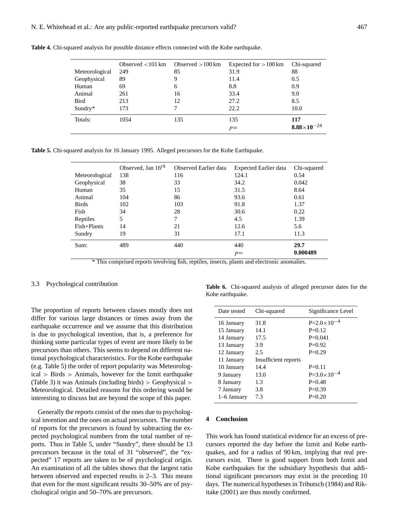|                | Observed $\langle 101 \text{ km} \rangle$ | Observed $>100$ km | Expected for $>100 \text{ km}$ | Chi-squared          |
|----------------|-------------------------------------------|--------------------|--------------------------------|----------------------|
| Meteorological | 249                                       | 85                 | 31.9                           | 88                   |
| Geophysical    | 89                                        | 9                  | 11.4                           | 0.5                  |
| Human          | 69                                        | 6                  | 8.8                            | 0.9                  |
| Animal         | 261                                       | 16                 | 33.4                           | 9.0                  |
| Bird           | 213                                       | 12                 | 27.2                           | 8.5                  |
| Sundry*        | 173                                       |                    | 22.2                           | 10.0                 |
| Totals:        | 1054                                      | 135                | 135                            | 117                  |
|                |                                           |                    | $p=$                           | $8.88\times10^{-24}$ |

**Table 4.** Chi-squared analysis for possible distance effects connected with the Kobe earthquake.

**Table 5.** Chi-squared analysis for 16 January 1995. Alleged precursors for the Kobe Earthquake.

|                | Observed, Jan $16^{th}$ | Observed Earlier data | Expected Earlier data | Chi-squared |
|----------------|-------------------------|-----------------------|-----------------------|-------------|
| Meteorological | 138                     | 116                   | 124.1                 | 0.54        |
| Geophysical    | 38                      | 33                    | 34.2                  | 0.042       |
| Human          | 35                      | 15                    | 31.5                  | 8.64        |
| Animal         | 104                     | 86                    | 93.6                  | 0.61        |
| <b>Birds</b>   | 102                     | 103                   | 91.8                  | 1.37        |
| Fish           | 34                      | 28                    | 30.6                  | 0.22        |
| Reptiles       | 5                       | 7                     | 4.5                   | 1.39        |
| Fish+Plants    | 14                      | 21                    | 12.6                  | 5.6         |
| Sundry         | 19                      | 31                    | 17.1                  | 11.3        |
| Sum:           | 489                     | 440                   | 440                   | 29.7        |
|                |                         |                       | $p=$                  | 0.000489    |

\* This comprised reports involving fish, reptiles, insects, plants and electronic anomalies.

## 3.3 Psychological contribution

The proportion of reports between classes mostly does not differ for various large distances or times away from the earthquake occurrence and we assume that this distribution is due to psychological invention, that is, a preference for thinking some particular types of event are more likely to be precursors than others. This seems to depend on different national psychological characteristics. For the Kobe earthquake (e.g. Table 5) the order of report popularity was Meteorological > Birds > Animals, however for the Izmit earthquake (Table 3) it was Animals (including birds) > Geophysical > Meteorological. Detailed reasons for this ordering would be interesting to discuss but are beyond the scope of this paper.

Generally the reports consist of the ones due to psychological invention and the ones on actual precursors. The number of reports for the precursors is found by subtracting the expected psychological numbers from the total number of reports. Thus in Table 5, under "Sundry", there should be 13 precursors because in the total of 31 "observed", the "expected" 17 reports are taken to be of psychological origin. An examination of all the tables shows that the largest ratio between observed and expected results is 2–3. This means that even for the most significant results 30–50% are of psychological origin and 50–70% are precursors.

**Table 6.** Chi-squared analysis of alleged precursor dates for the Kobe earthquake.

| Date tested | Chi-squared          | Significance Level       |
|-------------|----------------------|--------------------------|
| 16 January  | 31.8                 | $P = 2.0 \times 10^{-4}$ |
| 15 January  | 14.1                 | $P=0.12$                 |
| 14 January  | 17.5                 | $P=0.041$                |
| 13 January  | 3.9                  | $P=0.92$                 |
| 12 January  | 2.5                  | $P=0.29$                 |
| 11 January  | Insufficient reports |                          |
| 10 January  | 14.4                 | $P=0.11$                 |
| 9 January   | 13.0                 | $P = 3.0 \times 10^{-4}$ |
| 8 January   | 1.3                  | $P=0.48$                 |
| 7 January   | 3.8                  | $P=0.39$                 |
| 1–6 January | 7.3                  | $P=0.20$                 |
|             |                      |                          |

## **4 Conclusion**

This work has found statistical evidence for an excess of precursors reported the day before the Izmit and Kobe earthquakes, and for a radius of 90 km, implying that real precursors exist. There is good support from both Izmit and Kobe earthquakes for the subsidiary hypothesis that additional significant precursors may exist in the preceding 10 days. The numerical hypotheses in Tributsch (1984) and Rikitake (2001) are thus mostly confirmed.